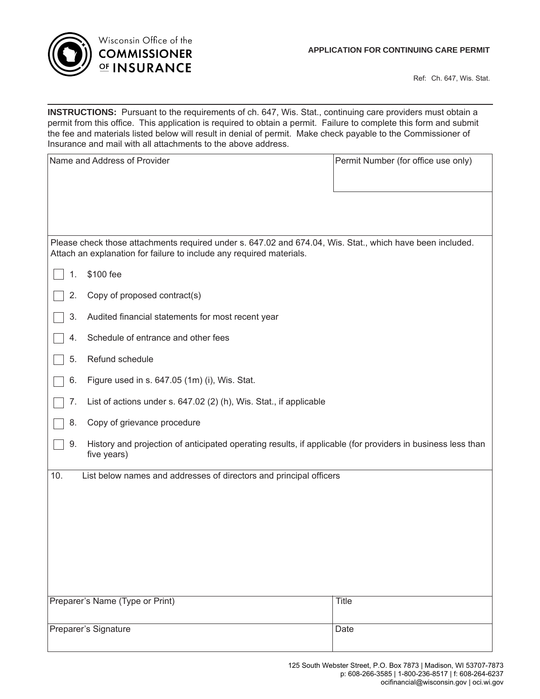

Ref: Ch. 647, Wis. Stat.

**INSTRUCTIONS:** Pursuant to the requirements of ch. 647, Wis. Stat., continuing care providers must obtain a permit from this office. This application is required to obtain a permit. Failure to complete this form and submit the fee and materials listed below will result in denial of permit. Make check payable to the Commissioner of Insurance and mail with all attachments to the above address.

| Name and Address of Provider                                                                                                                                                      | Permit Number (for office use only) |
|-----------------------------------------------------------------------------------------------------------------------------------------------------------------------------------|-------------------------------------|
|                                                                                                                                                                                   |                                     |
| Please check those attachments required under s. 647.02 and 674.04, Wis. Stat., which have been included.<br>Attach an explanation for failure to include any required materials. |                                     |
| \$100 fee<br>1.                                                                                                                                                                   |                                     |
| Copy of proposed contract(s)<br>2.                                                                                                                                                |                                     |
| 3.<br>Audited financial statements for most recent year                                                                                                                           |                                     |
| Schedule of entrance and other fees<br>4.                                                                                                                                         |                                     |
| Refund schedule<br>5.                                                                                                                                                             |                                     |
| Figure used in s. 647.05 (1m) (i), Wis. Stat.<br>6.                                                                                                                               |                                     |
| List of actions under s. 647.02 (2) (h), Wis. Stat., if applicable<br>7.                                                                                                          |                                     |
| Copy of grievance procedure<br>8.                                                                                                                                                 |                                     |
| History and projection of anticipated operating results, if applicable (for providers in business less than<br>9.<br>five years)                                                  |                                     |
| List below names and addresses of directors and principal officers<br>10.                                                                                                         |                                     |
|                                                                                                                                                                                   |                                     |
|                                                                                                                                                                                   |                                     |
|                                                                                                                                                                                   |                                     |
|                                                                                                                                                                                   |                                     |
|                                                                                                                                                                                   |                                     |
| Preparer's Name (Type or Print)                                                                                                                                                   | <b>Title</b>                        |
| Preparer's Signature                                                                                                                                                              | Date                                |